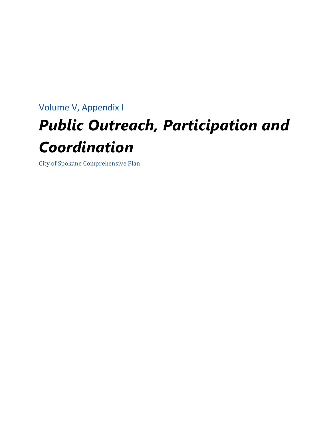# Volume V, Appendix I *Public Outreach, Participation and Coordination*

City of Spokane Comprehensive Plan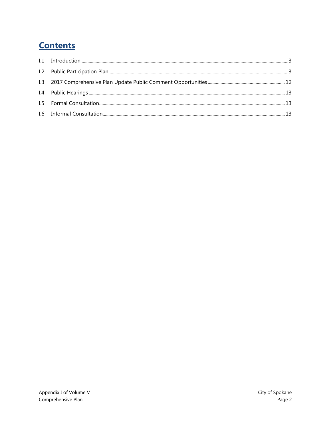# **Contents**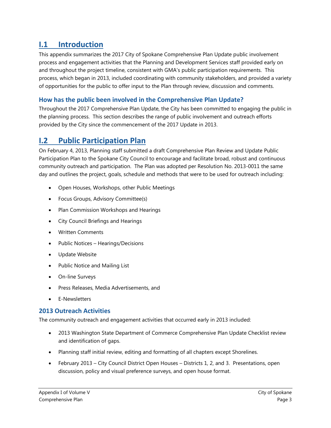# <span id="page-2-0"></span>**I.1 Introduction**

This appendix summarizes the 2017 City of Spokane Comprehensive Plan Update public involvement process and engagement activities that the Planning and Development Services staff provided early on and throughout the project timeline, consistent with GMA's public participation requirements. This process, which began in 2013, included coordinating with community stakeholders, and provided a variety of opportunities for the public to offer input to the Plan through review, discussion and comments.

# **How has the public been involved in the Comprehensive Plan Update?**

Throughout the 2017 Comprehensive Plan Update, the City has been committed to engaging the public in the planning process. This section describes the range of public involvement and outreach efforts provided by the City since the commencement of the 2017 Update in 2013.

# <span id="page-2-1"></span>**I.2 Public Participation Plan**

On February 4, 2013, Planning staff submitted a draft Comprehensive Plan Review and Update Public Participation Plan to the Spokane City Council to encourage and facilitate broad, robust and continuous community outreach and participation. The Plan was adopted per Resolution No. 2013-0011 the same day and outlines the project, goals, schedule and methods that were to be used for outreach including:

- Open Houses, Workshops, other Public Meetings
- Focus Groups, Advisory Committee(s)
- Plan Commission Workshops and Hearings
- City Council Briefings and Hearings
- Written Comments
- Public Notices Hearings/Decisions
- Update Website
- Public Notice and Mailing List
- On-line Surveys
- Press Releases, Media Advertisements, and
- E-Newsletters

# **2013 Outreach Activities**

The community outreach and engagement activities that occurred early in 2013 included:

- 2013 Washington State Department of Commerce Comprehensive Plan Update Checklist review and identification of gaps.
- Planning staff initial review, editing and formatting of all chapters except Shorelines.
- February 2013 City Council District Open Houses Districts 1, 2, and 3. Presentations, open discussion, policy and visual preference surveys, and open house format.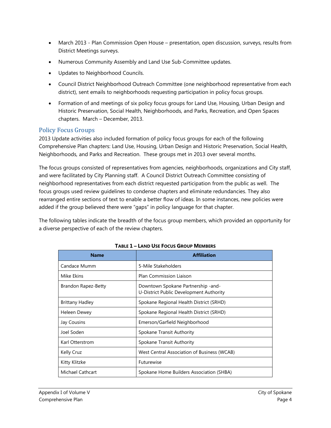- March 2013 Plan Commission Open House presentation, open discussion, surveys, results from District Meetings surveys.
- Numerous Community Assembly and Land Use Sub-Committee updates.
- Updates to Neighborhood Councils.
- Council District Neighborhood Outreach Committee (one neighborhood representative from each district), sent emails to neighborhoods requesting participation in policy focus groups.
- Formation of and meetings of six policy focus groups for Land Use, Housing, Urban Design and Historic Preservation, Social Health, Neighborhoods, and Parks, Recreation, and Open Spaces chapters. March – December, 2013.

# Policy Focus Groups

2013 Update activities also included formation of policy focus groups for each of the following Comprehensive Plan chapters: Land Use, Housing, Urban Design and Historic Preservation, Social Health, Neighborhoods, and Parks and Recreation. These groups met in 2013 over several months.

The focus groups consisted of representatives from agencies, neighborhoods, organizations and City staff, and were facilitated by City Planning staff. A Council District Outreach Committee consisting of neighborhood representatives from each district requested participation from the public as well. The focus groups used review guidelines to condense chapters and eliminate redundancies. They also rearranged entire sections of text to enable a better flow of ideas. In some instances, new policies were added if the group believed there were "gaps" in policy language for that chapter.

The following tables indicate the breadth of the focus group members, which provided an opportunity for a diverse perspective of each of the review chapters.

| <b>Name</b>             | <b>Affiliation</b>                                                            |
|-------------------------|-------------------------------------------------------------------------------|
| Candace Mumm            | 5-Mile Stakeholders                                                           |
| Mike Ekins              | <b>Plan Commission Liaison</b>                                                |
| Brandon Rapez-Betty     | Downtown Spokane Partnership -and-<br>U-District Public Development Authority |
| <b>Brittany Hadley</b>  | Spokane Regional Health District (SRHD)                                       |
| Heleen Dewey            | Spokane Regional Health District (SRHD)                                       |
| Jay Cousins             | Emerson/Garfield Neighborhood                                                 |
| Joel Soden              | Spokane Transit Authority                                                     |
| Karl Otterstrom         | Spokane Transit Authority                                                     |
| Kelly Cruz              | West Central Association of Business (WCAB)                                   |
| Kitty Klitzke           | <b>Futurewise</b>                                                             |
| <b>Michael Cathcart</b> | Spokane Home Builders Association (SHBA)                                      |

## **TABLE 1 – LAND USE FOCUS GROUP MEMBERS**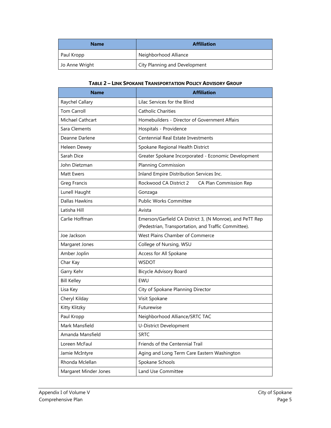| <b>Name</b>    | <b>Affiliation</b>            |
|----------------|-------------------------------|
| Paul Kropp     | Neighborhood Alliance         |
| Jo Anne Wright | City Planning and Development |

#### **TABLE 2 – LINK SPOKANE TRANSPORTATION POLICY ADVISORY GROUP**

| <b>Name</b>             | <b>Affiliation</b>                                                                                               |
|-------------------------|------------------------------------------------------------------------------------------------------------------|
| Raychel Callary         | Lilac Services for the Blind                                                                                     |
| <b>Tom Carroll</b>      | <b>Catholic Charities</b>                                                                                        |
| <b>Michael Cathcart</b> | Homebuilders - Director of Government Affairs                                                                    |
| Sara Clements           | Hospitals - Providence                                                                                           |
| Deanne Darlene          | Centennial Real Estate Investments                                                                               |
| Heleen Dewey            | Spokane Regional Health District                                                                                 |
| Sarah Dice              | Greater Spokane Incorporated - Economic Development                                                              |
| John Dietzman           | <b>Planning Commission</b>                                                                                       |
| Matt Ewers              | Inland Empire Distribution Services Inc.                                                                         |
| Greg Francis            | Rockwood CA District 2<br>CA Plan Commission Rep                                                                 |
| Lunell Haught           | Gonzaga                                                                                                          |
| <b>Dallas Hawkins</b>   | <b>Public Works Committee</b>                                                                                    |
| Latisha Hill            | Avista                                                                                                           |
| Carlie Hoffman          | Emerson/Garfield CA District 3, (N Monroe), and PeTT Rep<br>(Pedestrian, Transportation, and Traffic Committee). |
| Joe Jackson             | West Plains Chamber of Commerce                                                                                  |
| Margaret Jones          | College of Nursing, WSU                                                                                          |
| Amber Joplin            | Access for All Spokane                                                                                           |
| Char Kay                | <b>WSDOT</b>                                                                                                     |
| Garry Kehr              | <b>Bicycle Advisory Board</b>                                                                                    |
| <b>Bill Kelley</b>      | EWU                                                                                                              |
| Lisa Key                | City of Spokane Planning Director                                                                                |
| Cheryl Kilday           | Visit Spokane                                                                                                    |
| Kitty Klitzky           | Futurewise                                                                                                       |
| Paul Kropp              | Neighborhood Alliance/SRTC TAC                                                                                   |
| Mark Mansfield          | U-District Development                                                                                           |
| Amanda Mansfield        | <b>SRTC</b>                                                                                                      |
| Loreen McFaul           | Friends of the Centennial Trail                                                                                  |
| Jamie McIntyre          | Aging and Long Term Care Eastern Washington                                                                      |
| Rhonda Mclellan         | Spokane Schools                                                                                                  |
| Margaret Minder Jones   | Land Use Committee                                                                                               |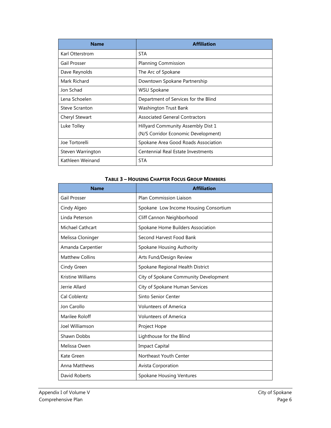| <b>Name</b>           | <b>Affiliation</b>                    |
|-----------------------|---------------------------------------|
| Karl Otterstrom       | <b>STA</b>                            |
| Gail Prosser          | <b>Planning Commission</b>            |
| Dave Reynolds         | The Arc of Spokane                    |
| Mark Richard          | Downtown Spokane Partnership          |
| Jon Schad             | WSU Spokane                           |
| Lena Schoelen         | Department of Services for the Blind  |
| <b>Steve Scranton</b> | Washington Trust Bank                 |
| Cheryl Stewart        | <b>Associated General Contractors</b> |
| Luke Tolley           | Hillyard Community Assembly Dist 1    |
|                       | (N/S Corridor Economic Development)   |
| Joe Tortorelli        | Spokane Area Good Roads Association   |
| Steven Warrington     | Centennial Real Estate Investments    |
| Kathleen Weinand      | <b>STA</b>                            |

## **TABLE 3 – HOUSING CHAPTER FOCUS GROUP MEMBERS**

| <b>Name</b>             | <b>Affiliation</b>                    |
|-------------------------|---------------------------------------|
| Gail Prosser            | <b>Plan Commission Liaison</b>        |
| Cindy Algeo             | Spokane Low Income Housing Consortium |
| Linda Peterson          | Cliff Cannon Neighborhood             |
| <b>Michael Cathcart</b> | Spokane Home Builders Association     |
| Melissa Cloninger       | Second Harvest Food Bank              |
| Amanda Carpentier       | Spokane Housing Authority             |
| <b>Matthew Collins</b>  | Arts Fund/Design Review               |
| Cindy Green             | Spokane Regional Health District      |
| Kristine Williams       | City of Spokane Community Development |
| Jerrie Allard           | City of Spokane Human Services        |
| Cal Coblentz            | Sinto Senior Center                   |
| Jon Carollo             | <b>Volunteers of America</b>          |
| Marilee Roloff          | <b>Volunteers of America</b>          |
| Joel Williamson         | Project Hope                          |
| Shawn Dobbs             | Lighthouse for the Blind              |
| Melissa Owen            | <b>Impact Capital</b>                 |
| Kate Green              | Northeast Youth Center                |
| <b>Anna Matthews</b>    | Avista Corporation                    |
| David Roberts           | <b>Spokane Housing Ventures</b>       |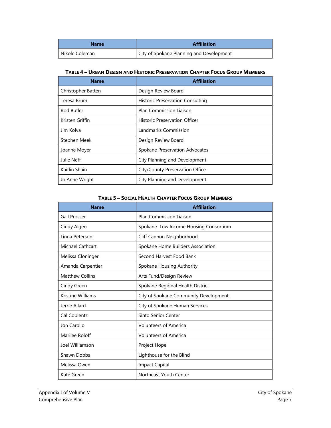| <b>Name</b>      | <b>Affiliation</b>                       |
|------------------|------------------------------------------|
| l Nikole Coleman | City of Spokane Planning and Development |

#### **TABLE 4 – URBAN DESIGN AND HISTORIC PRESERVATION CHAPTER FOCUS GROUP MEMBERS**

| <b>Name</b>        | <b>Affiliation</b>                      |
|--------------------|-----------------------------------------|
| Christopher Batten | Design Review Board                     |
| Teresa Brum        | <b>Historic Preservation Consulting</b> |
| Rod Butler         | <b>Plan Commission Liaison</b>          |
| Kristen Griffin    | <b>Historic Preservation Officer</b>    |
| Jim Kolva          | Landmarks Commission                    |
| Stephen Meek       | Design Review Board                     |
| Joanne Moyer       | Spokane Preservation Advocates          |
| Julie Neff         | City Planning and Development           |
| Kaitlin Shain      | City/County Preservation Office         |
| Jo Anne Wright     | City Planning and Development           |

#### **TABLE 5 – SOCIAL HEALTH CHAPTER FOCUS GROUP MEMBERS**

| <b>Name</b>             | <b>Affiliation</b>                    |
|-------------------------|---------------------------------------|
| Gail Prosser            | <b>Plan Commission Liaison</b>        |
| Cindy Algeo             | Spokane Low Income Housing Consortium |
| Linda Peterson          | Cliff Cannon Neighborhood             |
| <b>Michael Cathcart</b> | Spokane Home Builders Association     |
| Melissa Cloninger       | Second Harvest Food Bank              |
| Amanda Carpentier       | Spokane Housing Authority             |
| <b>Matthew Collins</b>  | Arts Fund/Design Review               |
| Cindy Green             | Spokane Regional Health District      |
| Kristine Williams       | City of Spokane Community Development |
| Jerrie Allard           | City of Spokane Human Services        |
| Cal Coblentz            | Sinto Senior Center                   |
| Jon Carollo             | <b>Volunteers of America</b>          |
| Marilee Roloff          | <b>Volunteers of America</b>          |
| Joel Williamson         | Project Hope                          |
| Shawn Dobbs             | Lighthouse for the Blind              |
| Melissa Owen            | <b>Impact Capital</b>                 |
| Kate Green              | Northeast Youth Center                |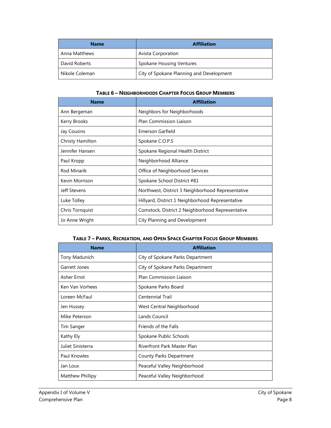| <b>Name</b>    | <b>Affiliation</b>                       |
|----------------|------------------------------------------|
| Anna Matthews  | <b>Avista Corporation</b>                |
| David Roberts  | Spokane Housing Ventures                 |
| Nikole Coleman | City of Spokane Planning and Development |

#### **TABLE 6 – NEIGHBORHOODS CHAPTER FOCUS GROUP MEMBERS**

| <b>Name</b>      | <b>Affiliation</b>                                |
|------------------|---------------------------------------------------|
| Ann Bergeman     | Neighbors for Neighborhoods                       |
| Kerry Brooks     | <b>Plan Commission Liaison</b>                    |
| Jay Cousins      | Emerson Garfield                                  |
| Christy Hamilton | Spokane C.O.P.S                                   |
| Jennifer Hansen  | Spokane Regional Health District                  |
| Paul Kropp       | Neighborhood Alliance                             |
| Rod Minarik      | Office of Neighborhood Services                   |
| Kevin Morrison   | Spokane School District #81                       |
| Jeff Stevens     | Northwest, District 3 Neighborhood Representative |
| Luke Tolley      | Hillyard, District 1 Neighborhood Representative  |
| Chris Tornquist  | Comstock, District 2 Neighborhood Representative  |
| Jo Anne Wright   | City Planning and Development                     |

## **TABLE 7 – PARKS, RECREATION, AND OPEN SPACE CHAPTER FOCUS GROUP MEMBERS**

| <b>Name</b>       | <b>Affiliation</b>               |
|-------------------|----------------------------------|
| Tony Madunich     | City of Spokane Parks Department |
| Garrett Jones     | City of Spokane Parks Department |
| Asher Ernst       | <b>Plan Commission Liaison</b>   |
| Ken Van Vorhees   | Spokane Parks Board              |
| Loreen McFaul     | <b>Centennial Trail</b>          |
| Jen Hussey        | West Central Neighborhood        |
| Mike Peterson     | Lands Council                    |
| Tim Sanger        | Friends of the Falls             |
| Kathy Ely         | Spokane Public Schools           |
| Juliet Sinisterra | Riverfront Park Master Plan      |
| Paul Knowles      | County Parks Department          |
| Jan Loux          | Peaceful Valley Neighborhood     |
| Matthew Phillipy  | Peaceful Valley Neighborhood     |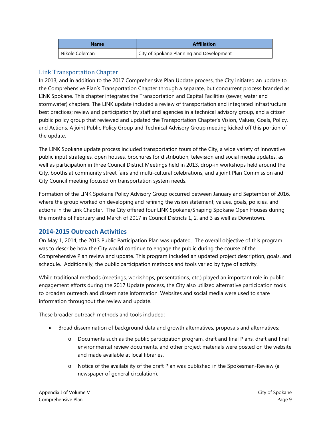| <b>Name</b>    | <b>Affiliation</b>                       |
|----------------|------------------------------------------|
| Nikole Coleman | City of Spokane Planning and Development |

# Link Transportation Chapter

In 2013, and in addition to the 2017 Comprehensive Plan Update process, the City initiated an update to the Comprehensive Plan's Transportation Chapter through a separate, but concurrent process branded as LINK Spokane. This chapter integrates the Transportation and Capital Facilities (sewer, water and stormwater) chapters. The LINK update included a review of transportation and integrated infrastructure best practices; review and participation by staff and agencies in a technical advisory group, and a citizen public policy group that reviewed and updated the Transportation Chapter's Vision, Values, Goals, Policy, and Actions. A joint Public Policy Group and Technical Advisory Group meeting kicked off this portion of the update.

The LINK Spokane update process included transportation tours of the City, a wide variety of innovative public input strategies, open houses, brochures for distribution, television and social media updates, as well as participation in three Council District Meetings held in 2013, drop-in workshops held around the City, booths at community street fairs and multi-cultural celebrations, and a joint Plan Commission and City Council meeting focused on transportation system needs.

Formation of the LINK Spokane Policy Advisory Group occurred between January and September of 2016, where the group worked on developing and refining the vision statement, values, goals, policies, and actions in the Link Chapter. The City offered four LINK Spokane/Shaping Spokane Open Houses during the months of February and March of 2017 in Council Districts 1, 2, and 3 as well as Downtown.

# **2014-2015 Outreach Activities**

On May 1, 2014, the 2013 Public Participation Plan was updated. The overall objective of this program was to describe how the City would continue to engage the public during the course of the Comprehensive Plan review and update. This program included an updated project description, goals, and schedule. Additionally, the public participation methods and tools varied by type of activity.

While traditional methods (meetings, workshops, presentations, etc.) played an important role in public engagement efforts during the 2017 Update process, the City also utilized alternative participation tools to broaden outreach and disseminate information. Websites and social media were used to share information throughout the review and update.

These broader outreach methods and tools included:

- Broad dissemination of background data and growth alternatives, proposals and alternatives:
	- o Documents such as the public participation program, draft and final Plans, draft and final environmental review documents, and other project materials were posted on the website and made available at local libraries.
	- o Notice of the availability of the draft Plan was published in the Spokesman-Review (a newspaper of general circulation).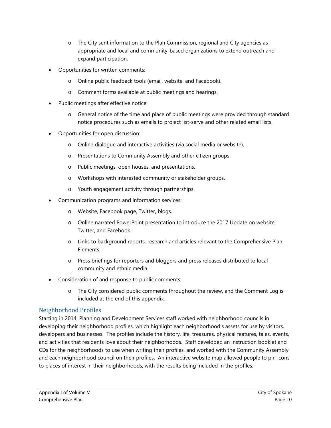- o The City sent information to the Plan Commission, regional and City agencies as appropriate and local and community-based organizations to extend outreach and expand participation.
- Opportunities for written comments:
	- o Online public feedback tools (email, website, and Facebook).
	- o Comment forms available at public meetings and hearings.
- Public meetings after effective notice:
	- o General notice of the time and place of public meetings were provided through standard notice procedures such as emails to project list-serve and other related email lists.
- Opportunities for open discussion:
	- o Online dialogue and interactive activities (via social media or website).
	- o Presentations to Community Assembly and other citizen groups.
	- o Public meetings, open houses, and presentations.
	- o Workshops with interested community or stakeholder groups.
	- o Youth engagement activity through partnerships.
- Communication programs and information services:
	- o Website, Facebook page, Twitter, blogs.
	- o Online narrated PowerPoint presentation to introduce the 2017 Update on website, Twitter, and Facebook.
	- o Links to background reports, research and articles relevant to the Comprehensive Plan Elements.
	- o Press briefings for reporters and bloggers and press releases distributed to local community and ethnic media.
- Consideration of and response to public comments:
	- o The City considered public comments throughout the review, and the Comment Log is included at the end of this appendix.

# Neighborhood Profiles

Starting in 2014, Planning and Development Services staff worked with neighborhood councils in developing their neighborhood profiles, which highlight each neighborhood's assets for use by visitors, developers and businesses. The profiles include the history, life, treasures, physical features, tales, events, and activities that residents love about their neighborhoods. Staff developed an instruction booklet and CDs for the neighborhoods to use when writing their profiles, and worked with the Community Assembly and each neighborhood council on their profiles. An interactive website map allowed people to pin icons to places of interest in their neighborhoods, with the results being included in the profiles.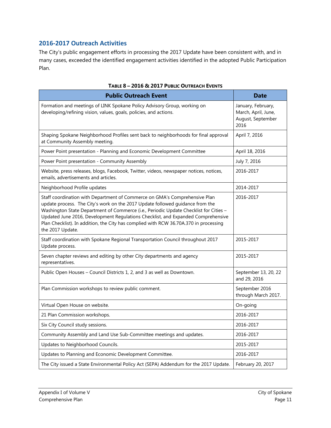# **2016-2017 Outreach Activities**

The City's public engagement efforts in processing the 2017 Update have been consistent with, and in many cases, exceeded the identified engagement activities identified in the adopted Public Participation Plan.

| <b>Public Outreach Event</b>                                                                                                                                                                                                                                                                                                                                                                                                                          | <b>Date</b>                                                            |
|-------------------------------------------------------------------------------------------------------------------------------------------------------------------------------------------------------------------------------------------------------------------------------------------------------------------------------------------------------------------------------------------------------------------------------------------------------|------------------------------------------------------------------------|
| Formation and meetings of LINK Spokane Policy Advisory Group, working on<br>developing/refining vision, values, goals, policies, and actions.                                                                                                                                                                                                                                                                                                         | January, February,<br>March, April, June,<br>August, September<br>2016 |
| Shaping Spokane Neighborhood Profiles sent back to neighborhoods for final approval<br>at Community Assembly meeting.                                                                                                                                                                                                                                                                                                                                 | April 7, 2016                                                          |
| Power Point presentation - Planning and Economic Development Committee                                                                                                                                                                                                                                                                                                                                                                                | April 18, 2016                                                         |
| Power Point presentation - Community Assembly                                                                                                                                                                                                                                                                                                                                                                                                         | July 7, 2016                                                           |
| Website, press releases, blogs, Facebook, Twitter, videos, newspaper notices, notices,<br>emails, advertisements and articles.                                                                                                                                                                                                                                                                                                                        | 2016-2017                                                              |
| Neighborhood Profile updates                                                                                                                                                                                                                                                                                                                                                                                                                          | 2014-2017                                                              |
| Staff coordination with Department of Commerce on GMA's Comprehensive Plan<br>update process. The City's work on the 2017 Update followed guidance from the<br>Washington State Department of Commerce (i.e., Periodic Update Checklist for Cities -<br>Updated June 2016, Development Regulations Checklist, and Expanded Comprehensive<br>Plan Checklist). In addition, the City has complied with RCW 36.70A.370 in processing<br>the 2017 Update. | 2016-2017                                                              |
| Staff coordination with Spokane Regional Transportation Council throughout 2017<br>Update process.                                                                                                                                                                                                                                                                                                                                                    | 2015-2017                                                              |
| Seven chapter reviews and editing by other City departments and agency<br>representatives.                                                                                                                                                                                                                                                                                                                                                            | 2015-2017                                                              |
| Public Open Houses - Council Districts 1, 2, and 3 as well as Downtown.                                                                                                                                                                                                                                                                                                                                                                               | September 13, 20, 22<br>and 29, 2016                                   |
| Plan Commission workshops to review public comment.                                                                                                                                                                                                                                                                                                                                                                                                   | September 2016<br>through March 2017.                                  |
| Virtual Open House on website.                                                                                                                                                                                                                                                                                                                                                                                                                        | On-going                                                               |
| 21 Plan Commission workshops.                                                                                                                                                                                                                                                                                                                                                                                                                         | 2016-2017                                                              |
| Six City Council study sessions.                                                                                                                                                                                                                                                                                                                                                                                                                      | 2016-2017                                                              |
| Community Assembly and Land Use Sub-Committee meetings and updates.                                                                                                                                                                                                                                                                                                                                                                                   | 2016-2017                                                              |
| Updates to Neighborhood Councils.                                                                                                                                                                                                                                                                                                                                                                                                                     | 2015-2017                                                              |
| Updates to Planning and Economic Development Committee.                                                                                                                                                                                                                                                                                                                                                                                               | 2016-2017                                                              |
| The City issued a State Environmental Policy Act (SEPA) Addendum for the 2017 Update.                                                                                                                                                                                                                                                                                                                                                                 | February 20, 2017                                                      |

|  |  | TABLE 8 - 2016 & 2017 PUBLIC OUTREACH EVENTS |  |
|--|--|----------------------------------------------|--|
|  |  |                                              |  |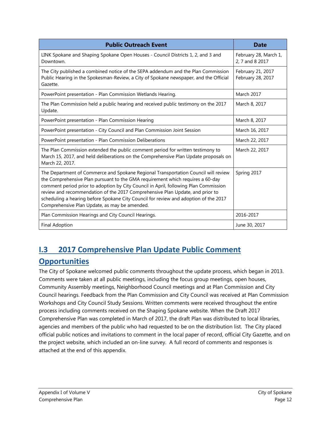| <b>Public Outreach Event</b>                                                                                                                                                                                                                                                                                                                                                                                                                                                           | <b>Date</b>                              |
|----------------------------------------------------------------------------------------------------------------------------------------------------------------------------------------------------------------------------------------------------------------------------------------------------------------------------------------------------------------------------------------------------------------------------------------------------------------------------------------|------------------------------------------|
| LINK Spokane and Shaping Spokane Open Houses - Council Districts 1, 2, and 3 and<br>Downtown.                                                                                                                                                                                                                                                                                                                                                                                          | February 28, March 1,<br>2, 7 and 8 2017 |
| The City published a combined notice of the SEPA addendum and the Plan Commission<br>Public Hearing in the Spokesman-Review, a City of Spokane newspaper, and the Official<br>Gazette.                                                                                                                                                                                                                                                                                                 | February 21, 2017<br>February 28, 2017   |
| PowerPoint presentation - Plan Commission Wetlands Hearing.                                                                                                                                                                                                                                                                                                                                                                                                                            | March 2017                               |
| The Plan Commission held a public hearing and received public testimony on the 2017<br>Update.                                                                                                                                                                                                                                                                                                                                                                                         | March 8, 2017                            |
| PowerPoint presentation - Plan Commission Hearing                                                                                                                                                                                                                                                                                                                                                                                                                                      | March 8, 2017                            |
| PowerPoint presentation - City Council and Plan Commission Joint Session                                                                                                                                                                                                                                                                                                                                                                                                               | March 16, 2017                           |
| PowerPoint presentation - Plan Commission Deliberations                                                                                                                                                                                                                                                                                                                                                                                                                                | March 22, 2017                           |
| The Plan Commission extended the public comment period for written testimony to<br>March 15, 2017, and held deliberations on the Comprehensive Plan Update proposals on<br>March 22, 2017.                                                                                                                                                                                                                                                                                             | March 22, 2017                           |
| The Department of Commerce and Spokane Regional Transportation Council will review<br>the Comprehensive Plan pursuant to the GMA requirement which requires a 60-day<br>comment period prior to adoption by City Council in April, following Plan Commission<br>review and recommendation of the 2017 Comprehensive Plan Update, and prior to<br>scheduling a hearing before Spokane City Council for review and adoption of the 2017<br>Comprehensive Plan Update, as may be amended. | Spring 2017                              |
| Plan Commission Hearings and City Council Hearings.                                                                                                                                                                                                                                                                                                                                                                                                                                    | 2016-2017                                |
| <b>Final Adoption</b>                                                                                                                                                                                                                                                                                                                                                                                                                                                                  | June 30, 2017                            |

# <span id="page-11-0"></span>**I.3 2017 Comprehensive Plan Update Public Comment Opportunities**

The City of Spokane welcomed public comments throughout the update process, which began in 2013. Comments were taken at all public meetings, including the focus group meetings, open houses, Community Assembly meetings, Neighborhood Council meetings and at Plan Commission and City Council hearings. Feedback from the Plan Commission and City Council was received at Plan Commission Workshops and City Council Study Sessions. Written comments were received throughout the entire process including comments received on the Shaping Spokane website. When the Draft 2017 Comprehensive Plan was completed in March of 2017, the draft Plan was distributed to local libraries, agencies and members of the public who had requested to be on the distribution list. The City placed official public notices and invitations to comment in the local paper of record, official City Gazette, and on the project website, which included an on-line survey. A full record of comments and responses is attached at the end of this appendix.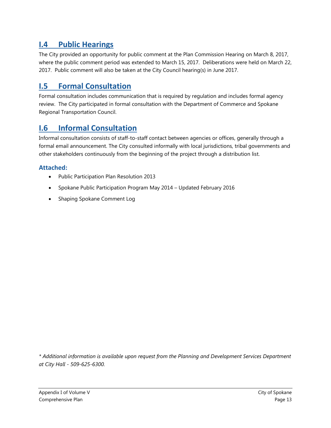# <span id="page-12-0"></span>**I.4 Public Hearings**

The City provided an opportunity for public comment at the Plan Commission Hearing on March 8, 2017, where the public comment period was extended to March 15, 2017. Deliberations were held on March 22, 2017. Public comment will also be taken at the City Council hearing(s) in June 2017.

# <span id="page-12-1"></span>**I.5 Formal Consultation**

Formal consultation includes communication that is required by regulation and includes formal agency review. The City participated in formal consultation with the Department of Commerce and Spokane Regional Transportation Council.

# <span id="page-12-2"></span>**I.6 Informal Consultation**

Informal consultation consists of staff-to-staff contact between agencies or offices, generally through a formal email announcement. The City consulted informally with local jurisdictions, tribal governments and other stakeholders continuously from the beginning of the project through a distribution list.

# **Attached:**

- Public Participation Plan Resolution 2013
- Spokane Public Participation Program May 2014 Updated February 2016
- Shaping Spokane Comment Log

*\* Additional information is available upon request from the Planning and Development Services Department at City Hall - 509-625-6300.*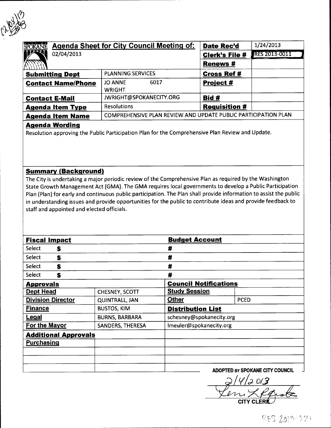

| SPOKANE                   | <b>Agenda Sheet for City Council Meeting of:</b>               | <b>Date Rec'd</b>     | 1/24/2013     |
|---------------------------|----------------------------------------------------------------|-----------------------|---------------|
| 02/04/2013                |                                                                | <b>Clerk's File #</b> | RES 2013-0011 |
|                           |                                                                | <b>Renews#</b>        |               |
| <b>Submitting Dept</b>    | <b>PLANNING SERVICES</b>                                       | <b>Cross Ref#</b>     |               |
| <b>Contact Name/Phone</b> | <b>JO ANNE</b><br>6017                                         | Project #             |               |
|                           | <b>WRIGHT</b>                                                  |                       |               |
| <b>Contact E-Mail</b>     | JWRIGHT@SPOKANECITY.ORG                                        | Bid #                 |               |
| <b>Agenda Item Type</b>   | <b>Resolutions</b>                                             | <b>Requisition #</b>  |               |
| <b>Agenda Item Name</b>   | COMPREHENSIVE PLAN REVIEW AND UPDATE PUBLIC PARTICIPATION PLAN |                       |               |

## **Agenda Wording**

Resolution approving the Public Participation Plan for the Comprehensive Plan Review and Update.

### **Summary (Background)**

The City is undertaking a major periodic review of the Comprehensive Plan as required by the Washington State Growth Management Act (GMA). The GMA requires local governments to develop a Public Participation Plan (Plan) for early and continuous public participation. The Plan shall provide information to assist the public in understanding issues and provide opportunities for the public to contribute ideas and provide feedback to staff and appointed and elected officials.

| <b>Fiscal Impact</b>              |                       | <b>Budget Account</b>        |                                 |
|-----------------------------------|-----------------------|------------------------------|---------------------------------|
| Select<br>S                       |                       | #                            |                                 |
| Select<br>\$                      |                       | #                            |                                 |
| Select<br>\$                      |                       | #                            |                                 |
| <b>Select</b><br>\$               |                       | #                            |                                 |
| <b>Approvals</b>                  |                       | <b>Council Notifications</b> |                                 |
| <b>Dept Head</b>                  | CHESNEY, SCOTT        | <b>Study Session</b>         |                                 |
| <b>Division Director</b>          | <b>QUINTRALL, JAN</b> | <b>Other</b>                 | <b>PCED</b>                     |
| <b>Finance</b>                    | <b>BUSTOS, KIM</b>    | <b>Distribution List</b>     |                                 |
| <b>Legal</b>                      | <b>BURNS, BARBARA</b> | schesney@spokanecity.org     |                                 |
| For the Mayor<br>SANDERS, THERESA |                       | Imeuler@spokanecity.org      |                                 |
| <b>Additional Approvals</b>       |                       |                              |                                 |
| <b>Purchasing</b>                 |                       |                              |                                 |
|                                   |                       |                              |                                 |
|                                   |                       |                              |                                 |
|                                   |                       |                              | ADOPTED BY SPOKANE CITY COLINGH |

 $14/201$ 3

 $RES$  2013-001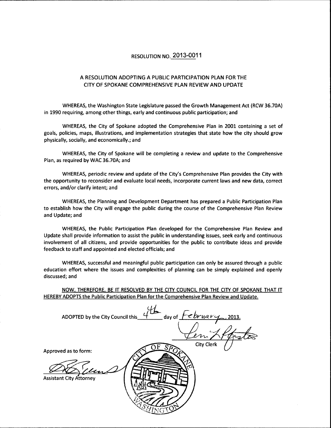## RESOLUTION NO. 2013-0011

#### A RESOLUTION ADOPTING A PUBLIC PARTICIPATION PLAN FOR THE CITY OF SPOKANE COMPREHENSIVE PLAN REVIEW AND UPDATE

WHEREAS, the Washington State Legislature passed the Growth Management Act (RCW 36.70A) in 1990 requiring, among other things, early and continuous public participation; and

WHEREAS, the City of Spokane adopted the Comprehensive Plan in 2001 containing a set of goals, policies, maps, illustrations, and implementation strategies that state how the city should grow physically, socially, and economically.; and

WHEREAS, the City of Spokane will be completing a review and update to the Comprehensive Plan, as required by WAC 36.70A; and

WHEREAS, periodic review and update of the City's Comprehensive Plan provides the City with the opportunity to reconsider and evaluate local needs, incorporate current laws and new data, correct errors, and/or clarify intent; and

WHEREAS, the Planning and Development Department has prepared a Public Participation Plan to establish how the City will engage the public during the course of the Comprehensive Plan Review and Update; and

WHEREAS, the Public Participation Plan developed for the Comprehensive Plan Review and Update shall provide information to assist the public in understanding issues, seek early and continuous involvement of all citizens, and provide opportunities for the public to contribute ideas and provide feedback to staff and appointed and elected officials; and

WHEREAS, successful and meaningful public participation can only be assured through a public education effort where the issues and complexities of planning can be simply explained and openly discussed; and

NOW, THEREFORE, BE IT RESOLVED BY THE CITY COUNCIL FOR THE CITY OF SPOKANE THAT IT HEREBY ADOPTS the Public Participation Plan for the Comprehensive Plan Review and Update.

ADOPTED by the City Council this day of  $\overline{f}$ Approved as to form: **Assistant City Attorney**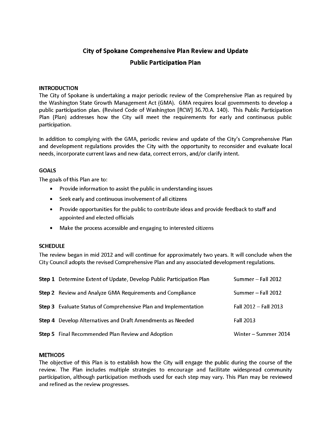# City of Spokane Comprehensive Plan Review and Update **Public Participation Plan**

#### **INTRODUCTION**

The City of Spokane is undertaking a major periodic review of the Comprehensive Plan as required by the Washington State Growth Management Act (GMA). GMA requires local governments to develop a public participation plan. (Revised Code of Washington [RCW] 36.70.A. 140). This Public Participation Plan (Plan) addresses how the City will meet the requirements for early and continuous public participation.

In addition to complying with the GMA, periodic review and update of the City's Comprehensive Plan and development regulations provides the City with the opportunity to reconsider and evaluate local needs, incorporate current laws and new data, correct errors, and/or clarify intent.

#### **GOALS**

The goals of this Plan are to:

- Provide information to assist the public in understanding issues
- Seek early and continuous involvement of all citizens  $\bullet$
- Provide opportunities for the public to contribute ideas and provide feedback to staff and  $\bullet$ appointed and elected officials
- Make the process accessible and engaging to interested citizens  $\bullet$

#### **SCHEDULE**

The review began in mid 2012 and will continue for approximately two years. It will conclude when the City Council adopts the revised Comprehensive Plan and any associated development regulations.

| Step 1 Determine Extent of Update, Develop Public Participation Plan   | Summer - Fall 2012    |
|------------------------------------------------------------------------|-----------------------|
| <b>Step 2</b> Review and Analyze GMA Requirements and Compliance       | Summer - Fall 2012    |
| <b>Step 3</b> Evaluate Status of Comprehensive Plan and Implementation | Fall 2012 - Fall 2013 |
| Step 4 Develop Alternatives and Draft Amendments as Needed             | Fall 2013             |
| <b>Step 5</b> Final Recommended Plan Review and Adoption               | Winter – Summer 2014  |

#### **METHODS**

The objective of this Plan is to establish how the City will engage the public during the course of the review. The Plan includes multiple strategies to encourage and facilitate widespread community participation, although participation methods used for each step may vary. This Plan may be reviewed and refined as the review progresses.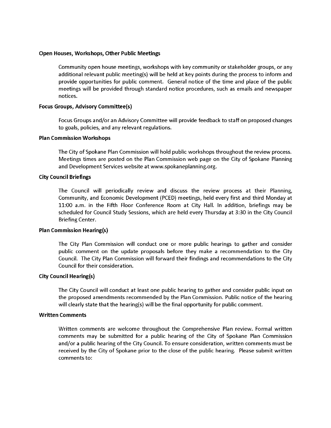#### Open Houses, Workshops, Other Public Meetings

Community open house meetings, workshops with key community or stakeholder groups, or any additional relevant public meeting(s) will be held at key points during the process to inform and provide opportunities for public comment. General notice of the time and place of the public meetings will be provided through standard notice procedures, such as emails and newspaper notices.

#### **Focus Groups, Advisory Committee(s)**

Focus Groups and/or an Advisory Committee will provide feedback to staff on proposed changes to goals, policies, and any relevant regulations.

#### **Plan Commission Workshops**

The City of Spokane Plan Commission will hold public workshops throughout the review process. Meetings times are posted on the Plan Commission web page on the City of Spokane Planning and Development Services website at www.spokaneplanning.org.

#### **City Council Briefings**

The Council will periodically review and discuss the review process at their Planning, Community, and Economic Development (PCED) meetings, held every first and third Monday at 11:00 a.m. in the Fifth Floor Conference Room at City Hall. In addition, briefings may be scheduled for Council Study Sessions, which are held every Thursday at 3:30 in the City Council Briefing Center.

#### **Plan Commission Hearing(s)**

The City Plan Commission will conduct one or more public hearings to gather and consider public comment on the update proposals before they make a recommendation to the City Council. The City Plan Commission will forward their findings and recommendations to the City Council for their consideration.

#### **City Council Hearing(s)**

The City Council will conduct at least one public hearing to gather and consider public input on the proposed amendments recommended by the Plan Commission. Public notice of the hearing will clearly state that the hearing(s) will be the final opportunity for public comment.

#### **Written Comments**

Written comments are welcome throughout the Comprehensive Plan review. Formal written comments may be submitted for a public hearing of the City of Spokane Plan Commission and/or a public hearing of the City Council. To ensure consideration, written comments must be received by the City of Spokane prior to the close of the public hearing. Please submit written comments to: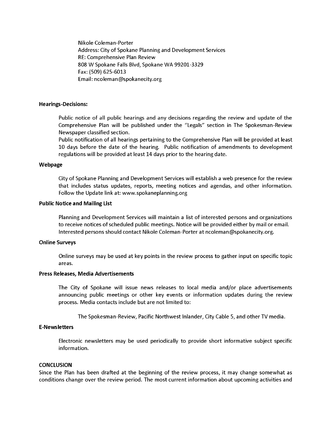Nikole Coleman-Porter Address: City of Spokane Planning and Development Services RE: Comprehensive Plan Review 808 W Spokane Falls Blvd, Spokane WA 99201-3329 Fax: (509) 625-6013 Email: ncoleman@spokanecity.org

#### **Hearings-Decisions:**

Public notice of all public hearings and any decisions regarding the review and update of the Comprehensive Plan will be published under the "Legals" section in The Spokesman-Review Newspaper classified section.

Public notification of all hearings pertaining to the Comprehensive Plan will be provided at least 10 days before the date of the hearing. Public notification of amendments to development regulations will be provided at least 14 days prior to the hearing date.

#### Webpage

City of Spokane Planning and Development Services will establish a web presence for the review that includes status updates, reports, meeting notices and agendas, and other information. Follow the Update link at: www.spokaneplanning.org

#### **Public Notice and Mailing List**

Planning and Development Services will maintain a list of interested persons and organizations to receive notices of scheduled public meetings. Notice will be provided either by mail or email. Interested persons should contact Nikole Coleman-Porter at ncoleman@spokanecity.org.

#### **Online Surveys**

Online surveys may be used at key points in the review process to gather input on specific topic areas.

#### Press Releases, Media Advertisements

The City of Spokane will issue news releases to local media and/or place advertisements announcing public meetings or other key events or information updates during the review process. Media contacts include but are not limited to:

The Spokesman-Review, Pacific Northwest Inlander, City Cable 5, and other TV media.

#### **E-Newsletters**

Electronic newsletters may be used periodically to provide short informative subject specific information.

#### **CONCLUSION**

Since the Plan has been drafted at the beginning of the review process, it may change somewhat as conditions change over the review period. The most current information about upcoming activities and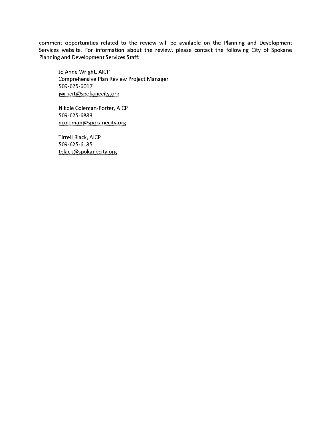comment opportunities related to the review will be available on the Planning and Development Services website. For information about the review, please contact the following City of Spokane Planning and Development Services Staff:

Jo Anne Wright, AICP Comprehensive Plan Review Project Manager 509-625-6017 jwright@spokanecity.org

Nikole Coleman-Porter, AICP 509-625-6883 ncoleman@spokanecity.org

Tirrell Black, AICP 509-625-6185 tblack@spokanecity.org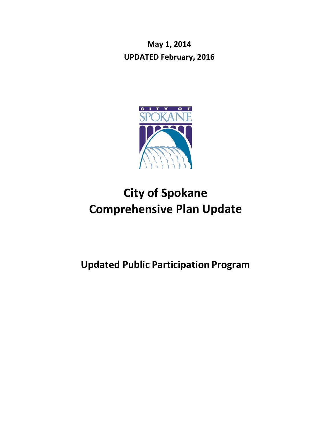**May 1, 2014 UPDATED February, 2016**



# **City of Spokane Comprehensive Plan Update**

# **Updated Public Participation Program**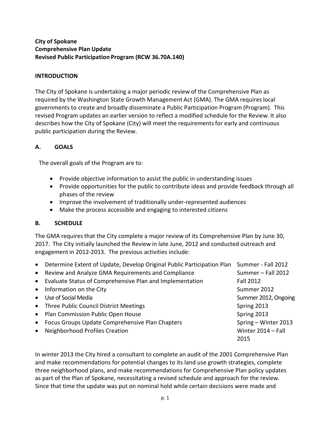## **City of Spokane Comprehensive Plan Update Revised Public Participation Program (RCW 36.70A.140)**

## **INTRODUCTION**

The City of Spokane is undertaking a major periodic review of the Comprehensive Plan as required by the Washington State Growth Management Act (GMA). The GMA requireslocal governments to create and broadly disseminate a Public Participation Program (Program). This revised Program updates an earlier version to reflect a modified schedule for the Review. It also describes how the City of Spokane (City) will meet the requirementsfor early and continuous public participation during the Review.

## **A. GOALS**

The overall goals of the Program are to:

- Provide objective information to assist the public in understanding issues
- Provide opportunities for the public to contribute ideas and provide feedback through all phases of the review
- Improve the involvement of traditionally under-represented audiences
- Make the process accessible and engaging to interested citizens

## **B. SCHEDULE**

The GMA requires that the City complete a major review of its Comprehensive Plan by June 30, 2017. The City initially launched the Review in late June, 2012 and conducted outreach and engagement in 2012-2013. The previous activities include:

• Determine Extent of Update, Develop Original Public Participation Plan Summer - Fall 2012 • Review and Analyze GMA Requirements and Compliance Summer – Fall 2012

| • Evaluate Status of Comprehensive Plan and Implementation | <b>Fall 2012</b>     |
|------------------------------------------------------------|----------------------|
| • Information on the City                                  | Summer 2012          |
| • Use of Social Media                                      | Summer 2012, Ongoing |
| • Three Public Council District Meetings                   | Spring 2013          |
| • Plan Commission Public Open House                        | Spring 2013          |
| • Focus Groups Update Comprehensive Plan Chapters          | Spring - Winter 2013 |
| • Neighborhood Profiles Creation                           | Winter 2014 - Fall   |
|                                                            | 2015                 |

In winter 2013 the City hired a consultant to complete an audit of the 2001 Comprehensive Plan and make recommendations for potential changes to its land use growth strategies, complete three neighborhood plans, and make recommendations for Comprehensive Plan policy updates as part of the Plan of Spokane, necessitating a revised schedule and approach for the review. Since that time the update was put on nominal hold while certain decisions were made and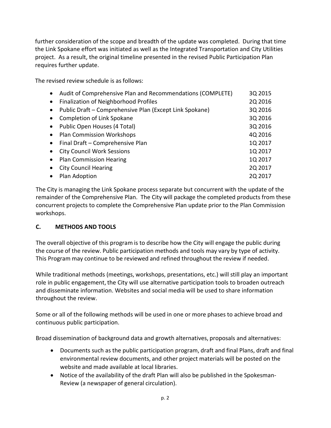further consideration of the scope and breadth of the update was completed. During that time the Link Spokane effort was initiated as well as the Integrated Transportation and City Utilities project. As a result, the original timeline presented in the revised Public Participation Plan requires further update.

The revised review schedule is as follows:

| Audit of Comprehensive Plan and Recommendations (COMPLETE) | 3Q 2015 |
|------------------------------------------------------------|---------|
| Finalization of Neighborhood Profiles                      | 2Q 2016 |
| Public Draft – Comprehensive Plan (Except Link Spokane)    | 3Q 2016 |
| Completion of Link Spokane                                 | 3Q 2016 |
| Public Open Houses (4 Total)                               | 3Q 2016 |
| <b>Plan Commission Workshops</b>                           | 4Q 2016 |
| Final Draft - Comprehensive Plan                           | 1Q 2017 |
| <b>City Council Work Sessions</b>                          | 1Q 2017 |
| <b>Plan Commission Hearing</b>                             | 1Q 2017 |
| <b>City Council Hearing</b>                                | 2Q 2017 |
| Plan Adoption                                              | 2Q 2017 |
|                                                            |         |

The City is managing the Link Spokane process separate but concurrent with the update of the remainder of the Comprehensive Plan. The City will package the completed products from these concurrent projects to complete the Comprehensive Plan update prior to the Plan Commission workshops.

# **C. METHODS AND TOOLS**

The overall objective of this program is to describe how the City will engage the public during the course of the review. Public participation methods and tools may vary by type of activity. This Program may continue to be reviewed and refined throughout the review if needed.

While traditional methods (meetings, workshops, presentations, etc.) will still play an important role in public engagement, the City will use alternative participation tools to broaden outreach and disseminate information. Websites and social media will be used to share information throughout the review.

Some or all of the following methods will be used in one or more phases to achieve broad and continuous public participation.

Broad dissemination of background data and growth alternatives, proposals and alternatives:

- Documents such as the public participation program, draft and final Plans, draft and final environmental review documents, and other project materials will be posted on the website and made available at local libraries.
- Notice of the availability of the draft Plan will also be published in the Spokesman-Review (a newspaper of general circulation).